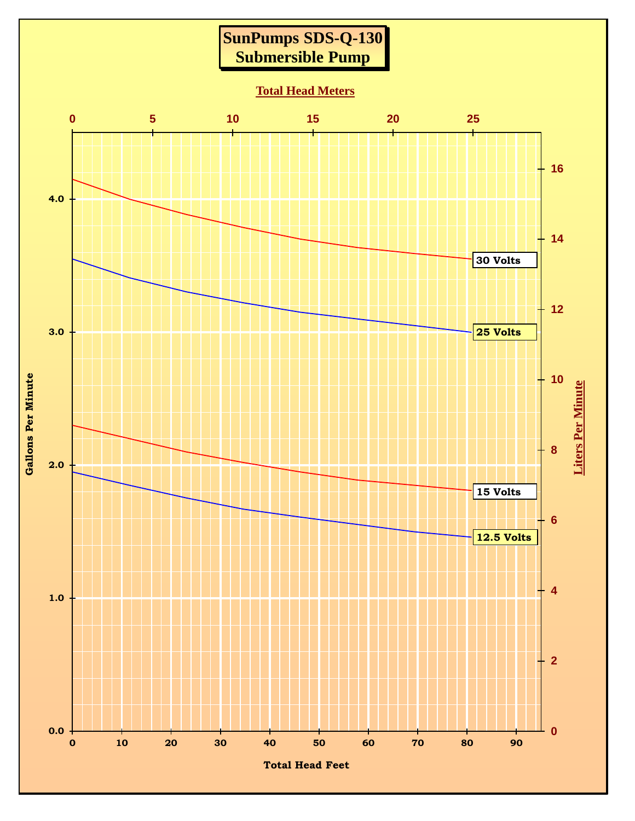